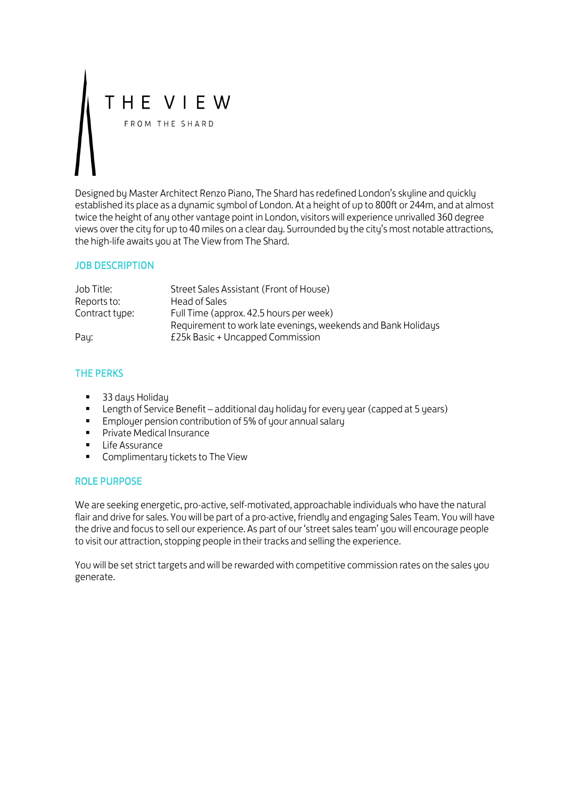# THE VIEW FROM THE SHARD

Designed by Master Architect Renzo Piano, The Shard has redefined London's skyline and quickly established its place as a dynamic symbol of London. At a height of up to 800ft or 244m, and at almost twice the height of any other vantage point in London, visitors will experience unrivalled 360 degree views over the city for up to 40 miles on a clear day. Surrounded by the city's most notable attractions, the high-life awaits you at The View from The Shard.

## JOB DESCRIPTION

| Job Title:     | Street Sales Assistant (Front of House)                       |
|----------------|---------------------------------------------------------------|
| Reports to:    | Head of Sales                                                 |
| Contract type: | Full Time (approx. 42.5 hours per week)                       |
|                | Requirement to work late evenings, weekends and Bank Holidays |
| Pay:           | £25k Basic + Uncapped Commission                              |

# THE PERKS

- 33 days Holiday
- **EXECT** Length of Service Benefit additional day holiday for every year (capped at 5 years)
- **Employer pension contribution of 5% of your annual salary**
- **Private Medical Insurance**
- **Life Assurance**
- **Complimentary tickets to The View**

#### ROLE PURPOSE

We are seeking energetic, pro-active, self-motivated, approachable individuals who have the natural flair and drive for sales. You will be part of a pro-active, friendly and engaging Sales Team. You will have the drive and focus to sell our experience. As part of our 'street sales team' you will encourage people to visit our attraction, stopping people in their tracks and selling the experience.

You will be set strict targets and will be rewarded with competitive commission rates on the sales you generate.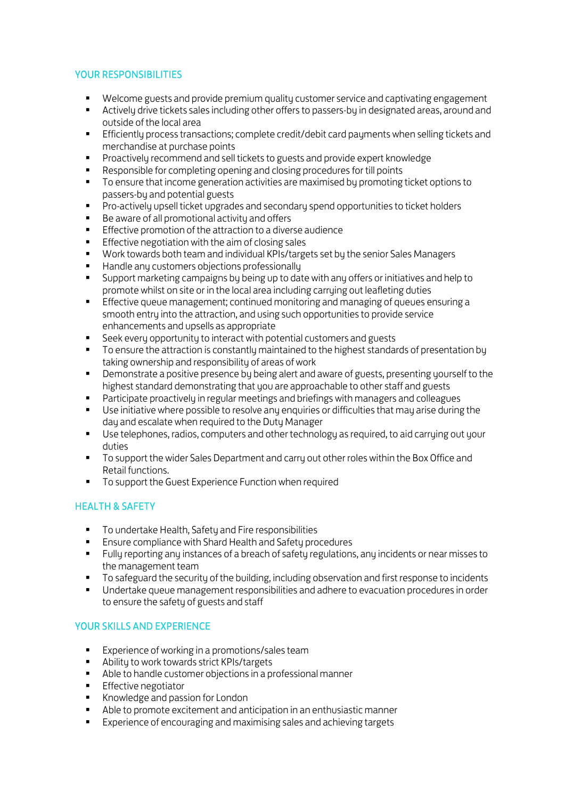## YOUR RESPONSIBILITIES

- Welcome guests and provide premium quality customer service and captivating engagement<br>■ Activelu drive tickets sales including other offers to passers-bu in designated areas, around and
- Actively drive tickets sales including other offers to passers-by in designated areas, around and outside of the local area
- **Efficiently process transactions; complete credit/debit card payments when selling tickets and** merchandise at purchase points
- **Proactively recommend and sell tickets to guests and provide expert knowledge**
- Responsible for completing opening and closing procedures for till points<br>To ensure that income generation activities are maximised by promoting
- To ensure that income generation activities are maximised by promoting ticket options to passers-by and potential guests
- **Pro-actively upsell ticket upgrades and secondary spend opportunities to ticket holders**
- Be aware of all promotional activity and offers
- **Effective promotion of the attraction to a diverse audience**
- **Effective negotiation with the aim of closing sales**<br> **Nork towards both team and individual KPIs (targe**
- Work towards both team and individual KPIs/targets set by the senior Sales Managers
- Handle any customers objections professionally
- Support marketing campaigns by being up to date with any offers or initiatives and help to promote whilst on site or in the local area including carrying out leafleting duties
- Effective queue management; continued monitoring and managing of queues ensuring a smooth entry into the attraction, and using such opportunities to provide service enhancements and upsells as appropriate
- Seek every opportunity to interact with potential customers and guests
- **T** To ensure the attraction is constantly maintained to the highest standards of presentation by taking ownership and responsibility of areas of work
- **Physical Exercise** a positive presence by being alert and aware of guests, presenting yourself to the highest standard demonstrating that you are approachable to other staff and guests
- **Participate proactively in regular meetings and briefings with managers and colleagues**
- Use initiative where possible to resolve any enquiries or difficulties that may arise during the day and escalate when required to the Duty Manager
- Use telephones, radios, computers and other technology as required, to aid carrying out your duties
- **T** To support the wider Sales Department and carry out other roles within the Box Office and Retail functions.
- **To support the Guest Experience Function when required**

# HEALTH & SAFETY

- **To undertake Health, Safety and Fire responsibilities**
- **Ensure compliance with Shard Health and Safety procedures**
- Fully reporting any instances of a breach of safety regulations, any incidents or near misses to the management team
- To safeguard the security of the building, including observation and first response to incidents
- Undertake queue management responsibilities and adhere to evacuation procedures in order to ensure the safety of guests and staff

#### YOUR SKILLS AND EXPERIENCE

- **Experience of working in a promotions/sales team**
- Ability to work towards strict KPIs/targets
- Able to handle customer objections in a professional manner
- **Effective negotiator**
- Knowledge and passion for London
- Able to promote excitement and anticipation in an enthusiastic manner
- Experience of encouraging and maximising sales and achieving targets